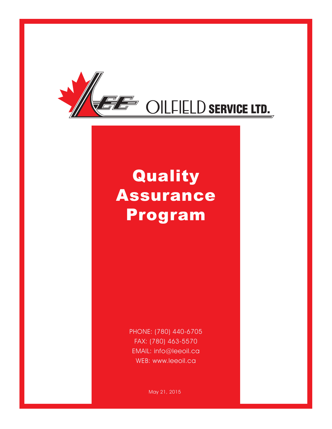

# Quality Assurance Program

PHONE: (780) 440-6705 FAX: (780) 463-5570 EMAIL: info@leeoil.ca WEB: www.leeoil.ca

May 21, 2015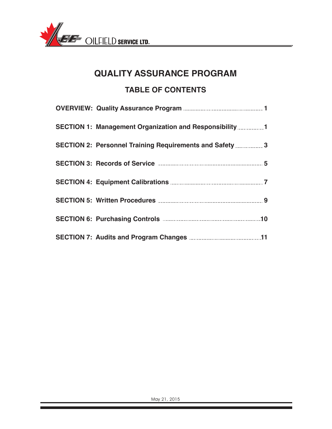

## **QUALITY ASSURANCE PROGRAM TABLE OF CONTENTS**

| SECTION 1: Management Organization and Responsibility 1                        |
|--------------------------------------------------------------------------------|
| SECTION 2: Personnel Training Requirements and Safety 3                        |
| SECTION 3: Records of Service <b>Engineering SECTION</b> 3: Records of Service |
|                                                                                |
|                                                                                |
|                                                                                |
|                                                                                |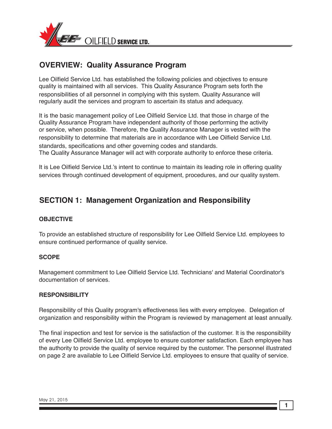

## **OVERVIEW: Quality Assurance Program**

Lee Oilfield Service Ltd. has established the following policies and objectives to ensure quality is maintained with all services. This Quality Assurance Program sets forth the responsibilities of all personnel in complying with this system. Quality Assurance will regularly audit the services and program to ascertain its status and adequacy.

It is the basic management policy of Lee Oilfield Service Ltd. that those in charge of the Quality Assurance Program have independent authority of those performing the activity or service, when possible. Therefore, the Quality Assurance Manager is vested with the responsibility to determine that materials are in accordance with Lee Oilfield Service Ltd. standards, specifications and other governing codes and standards. The Quality Assurance Manager will act with corporate authority to enforce these criteria.

It is Lee Oilfield Service Ltd.'s intent to continue to maintain its leading role in offering quality services through continued development of equipment, procedures, and our quality system.

## **SECTION 1: Management Organization and Responsibility**

#### **OBJECTIVE**

To provide an established structure of responsibility for Lee Oilfield Service Ltd. employees to ensure continued performance of quality service.

#### **SCOPE**

Management commitment to Lee Oilfield Service Ltd. Technicians' and Material Coordinator's documentation of services.

#### **RESPONSIBILITY**

Responsibility of this Quality program's effectiveness lies with every employee. Delegation of organization and responsibility within the Program is reviewed by management at least annually.

The final inspection and test for service is the satisfaction of the customer. It is the responsibility of every Lee Oilfield Service Ltd. employee to ensure customer satisfaction. Each employee has the authority to provide the quality of service required by the customer. The personnel illustrated on page 2 are available to Lee Oilfield Service Ltd. employees to ensure that quality of service.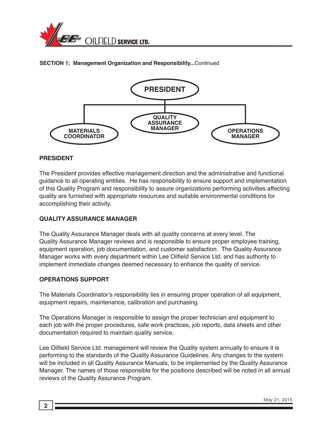

#### **SECTION 1: Management Organization and Responsibility...**Continued



#### **PRESIDENT**

The President provides effective management direction and the administrative and functional guidance to all operating entities. He has responsibility to ensure support and implementation of this Quality Program and responsibility to assure organizations performing activities affecting quality are furnished with appropriate resources and suitable environmental conditions for accomplishing their activity.

#### **QUALITY ASSURANCE MANAGER**

The Quality Assurance Manager deals with all quality concerns at every level. The Quality Assurance Manager reviews and is responsible to ensure proper employee training, equipment operation, job documentation, and customer satisfaction. The Quality Assurance Manager works with every department within Lee Oilfield Service Ltd. and has authority to implement immediate changes deemed necessary to enhance the quality of service.

#### **OPERATIONS SUPPORT**

The Materials Coordinator's responsibility lies in ensuring proper operation of all equipment, equipment repairs, maintenance, calibration and purchasing.

The Operations Manager is responsible to assign the proper technician and equipment to each job with the proper procedures, safe work practices, job reports, data sheets and other documentation required to maintain quality service.

Lee Oilfield Service Ltd. management will review the Quality system annually to ensure it is performing to the standards of the Quality Assurance Guidelines. Any changes to the system will be included in all Quality Assurance Manuals, to be implemented by the Quality Assurance Manager. The names of those responsible for the positions described will be noted in all annual reviews of the Quality Assurance Program.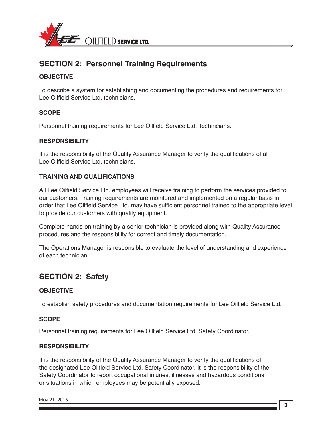

## **SECTION 2: Personnel Training Requirements**

#### **OBJECTIVE**

To describe a system for establishing and documenting the procedures and requirements for Lee Oilfield Service Ltd. technicians.

#### **SCOPE**

Personnel training requirements for Lee Oilfield Service Ltd. Technicians.

#### **RESPONSIBILITY**

It is the responsibility of the Quality Assurance Manager to verify the qualifications of all Lee Oilfield Service Ltd. technicians.

#### **TRAINING AND QUALIFICATIONS**

All Lee Oilfield Service Ltd. employees will receive training to perform the services provided to our customers. Training requirements are monitored and implemented on a regular basis in order that Lee Oilfield Service Ltd. may have sufficient personnel trained to the appropriate level to provide our customers with quality equipment.

Complete hands-on training by a senior technician is provided along with Quality Assurance procedures and the responsibility for correct and timely documentation.

The Operations Manager is responsible to evaluate the level of understanding and experience of each technician.

### **SECTION 2: Safety**

#### **OBJECTIVE**

To establish safety procedures and documentation requirements for Lee Oilfield Service Ltd.

#### **SCOPE**

Personnel training requirements for Lee Oilfield Service Ltd. Safety Coordinator.

#### **RESPONSIBILITY**

It is the responsibility of the Quality Assurance Manager to verify the qualifications of the designated Lee Oilfield Service Ltd. Safety Coordinator. It is the responsibility of the Safety Coordinator to report occupational injuries, illnesses and hazardous conditions or situations in which employees may be potentially exposed.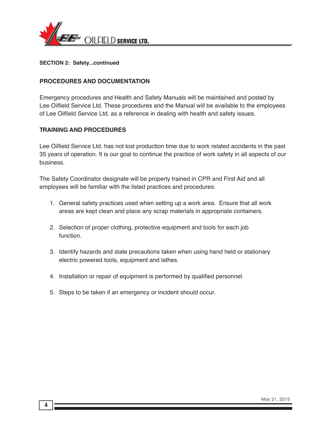

**SECTION 2: Safety...continued**

#### **PROCEDURES AND DOCUMENTATION**

Emergency procedures and Health and Safety Manuals will be maintained and posted by Lee Oilfield Service Ltd. These procedures and the Manual will be available to the employees of Lee Oilfield Service Ltd. as a reference in dealing with health and safety issues.

#### **TRAINING AND PROCEDURES**

Lee Oilfield Service Ltd. has not lost production time due to work related accidents in the past 35 years of operation. It is our goal to continue the practice of work safety in all aspects of our business.

The Safety Coordinator designate will be properly trained in CPR and First Aid and all employees will be familiar with the listed practices and procedures:

- 1. General safety practices used when setting up a work area. Ensure that all work areas are kept clean and place any scrap materials in appropriate containers.
- 2. Selection of proper clothing, protective equipment and tools for each job function.
- 3. Identify hazards and state precautions taken when using hand held or stationary electric powered tools, equipment and lathes.
- 4. Installation or repair of equipment is performed by qualified personnel.
- 5. Steps to be taken if an emergency or incident should occur.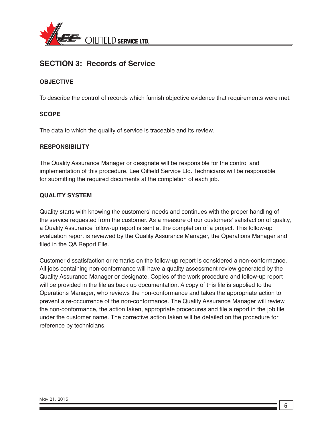

## **SECTION 3: Records of Service**

#### **OBJECTIVE**

To describe the control of records which furnish objective evidence that requirements were met.

#### **SCOPE**

The data to which the quality of service is traceable and its review.

#### **RESPONSIBILITY**

The Quality Assurance Manager or designate will be responsible for the control and implementation of this procedure. Lee Oilfield Service Ltd. Technicians will be responsible for submitting the required documents at the completion of each job.

#### **QUALITY SYSTEM**

Quality starts with knowing the customers' needs and continues with the proper handling of the service requested from the customer. As a measure of our customers' satisfaction of quality, a Quality Assurance follow-up report is sent at the completion of a project. This follow-up evaluation report is reviewed by the Quality Assurance Manager, the Operations Manager and filed in the QA Report File.

Customer dissatisfaction or remarks on the follow-up report is considered a non-conformance. All jobs containing non-conformance will have a quality assessment review generated by the Quality Assurance Manager or designate. Copies of the work procedure and follow-up report will be provided in the file as back up documentation. A copy of this file is supplied to the Operations Manager, who reviews the non-conformance and takes the appropriate action to prevent a re-occurrence of the non-conformance. The Quality Assurance Manager will review the non-conformance, the action taken, appropriate procedures and file a report in the job file under the customer name. The corrective action taken will be detailed on the procedure for reference by technicians.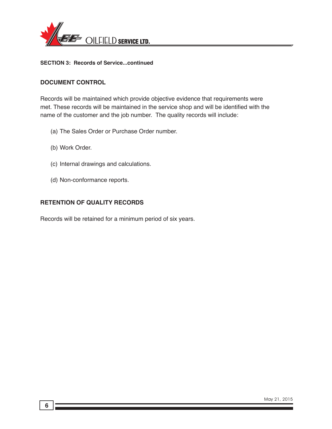

**SECTION 3: Records of Service...continued**

#### **DOCUMENT CONTROL**

Records will be maintained which provide objective evidence that requirements were met. These records will be maintained in the service shop and will be identified with the name of the customer and the job number. The quality records will include:

- (a) The Sales Order or Purchase Order number.
- (b) Work Order.
- (c) Internal drawings and calculations.
- (d) Non-conformance reports.

#### **RETENTION OF QUALITY RECORDS**

Records will be retained for a minimum period of six years.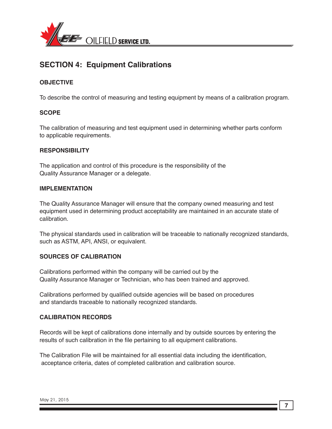

## **SECTION 4: Equipment Calibrations**

#### **OBJECTIVE**

To describe the control of measuring and testing equipment by means of a calibration program.

#### **SCOPE**

The calibration of measuring and test equipment used in determining whether parts conform to applicable requirements.

#### **RESPONSIBILITY**

The application and control of this procedure is the responsibility of the Quality Assurance Manager or a delegate.

#### **IMPLEMENTATION**

The Quality Assurance Manager will ensure that the company owned measuring and test equipment used in determining product acceptability are maintained in an accurate state of calibration.

The physical standards used in calibration will be traceable to nationally recognized standards, such as ASTM, API, ANSI, or equivalent.

#### **SOURCES OF CALIBRATION**

Calibrations performed within the company will be carried out by the Quality Assurance Manager or Technician, who has been trained and approved.

Calibrations performed by qualified outside agencies will be based on procedures and standards traceable to nationally recognized standards.

#### **CALIBRATION RECORDS**

Records will be kept of calibrations done internally and by outside sources by entering the results of such calibration in the file pertaining to all equipment calibrations.

The Calibration File will be maintained for all essential data including the identification, acceptance criteria, dates of completed calibration and calibration source.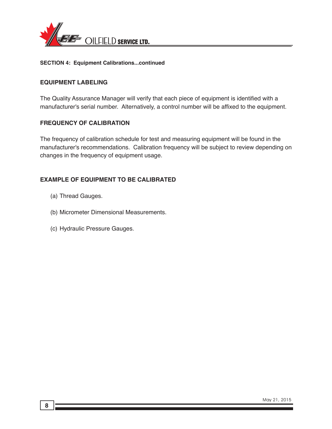

#### **SECTION 4: Equipment Calibrations...continued**

#### **EQUIPMENT LABELING**

The Quality Assurance Manager will verify that each piece of equipment is identified with a manufacturer's serial number. Alternatively, a control number will be affixed to the equipment.

#### **FREQUENCY OF CALIBRATION**

The frequency of calibration schedule for test and measuring equipment will be found in the manufacturer's recommendations. Calibration frequency will be subject to review depending on changes in the frequency of equipment usage.

#### **EXAMPLE OF EQUIPMENT TO BE CALIBRATED**

- (a) Thread Gauges.
- (b) Micrometer Dimensional Measurements.
- (c) Hydraulic Pressure Gauges.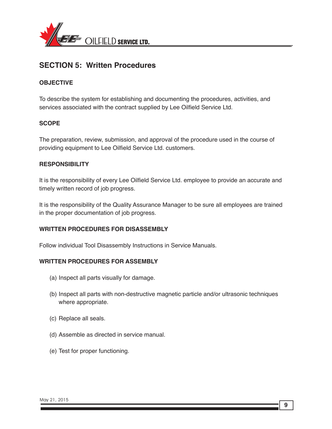

## **SECTION 5: Written Procedures**

#### **OBJECTIVE**

To describe the system for establishing and documenting the procedures, activities, and services associated with the contract supplied by Lee Oilfield Service Ltd.

#### **SCOPE**

The preparation, review, submission, and approval of the procedure used in the course of providing equipment to Lee Oilfield Service Ltd. customers.

#### **RESPONSIBILITY**

It is the responsibility of every Lee Oilfield Service Ltd. employee to provide an accurate and timely written record of job progress.

It is the responsibility of the Quality Assurance Manager to be sure all employees are trained in the proper documentation of job progress.

#### **WRITTEN PROCEDURES FOR DISASSEMBLY**

Follow individual Tool Disassembly Instructions in Service Manuals.

#### **WRITTEN PROCEDURES FOR ASSEMBLY**

- (a) Inspect all parts visually for damage.
- (b) Inspect all parts with non-destructive magnetic particle and/or ultrasonic techniques where appropriate.
- (c) Replace all seals.
- (d) Assemble as directed in service manual.
- (e) Test for proper functioning.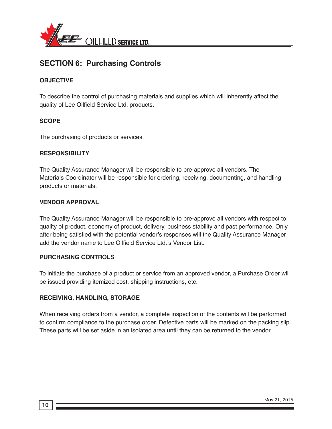

## **SECTION 6: Purchasing Controls**

#### **OBJECTIVE**

To describe the control of purchasing materials and supplies which will inherently affect the quality of Lee Oilfield Service Ltd. products.

#### **SCOPE**

The purchasing of products or services.

#### **RESPONSIBILITY**

The Quality Assurance Manager will be responsible to pre-approve all vendors. The Materials Coordinator will be responsible for ordering, receiving, documenting, and handling products or materials.

#### **VENDOR APPROVAL**

The Quality Assurance Manager will be responsible to pre-approve all vendors with respect to quality of product, economy of product, delivery, business stability and past performance. Only after being satisfied with the potential vendor's responses will the Quality Assurance Manager add the vendor name to Lee Oilfield Service Ltd.'s Vendor List.

#### **PURCHASING CONTROLS**

To initiate the purchase of a product or service from an approved vendor, a Purchase Order will be issued providing itemized cost, shipping instructions, etc.

#### **RECEIVING, HANDLING, STORAGE**

When receiving orders from a vendor, a complete inspection of the contents will be performed to confirm compliance to the purchase order. Defective parts will be marked on the packing slip. These parts will be set aside in an isolated area until they can be returned to the vendor.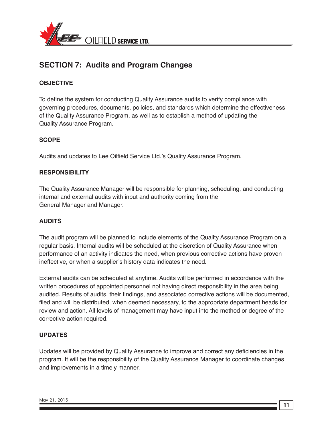

## **SECTION 7: Audits and Program Changes**

#### **OBJECTIVE**

To define the system for conducting Quality Assurance audits to verify compliance with governing procedures, documents, policies, and standards which determine the effectiveness of the Quality Assurance Program, as well as to establish a method of updating the Quality Assurance Program.

#### **SCOPE**

Audits and updates to Lee Oilfield Service Ltd.'s Quality Assurance Program.

#### **RESPONSIBILITY**

The Quality Assurance Manager will be responsible for planning, scheduling, and conducting internal and external audits with input and authority coming from the General Manager and Manager.

#### **AUDITS**

The audit program will be planned to include elements of the Quality Assurance Program on a regular basis. Internal audits will be scheduled at the discretion of Quality Assurance when performance of an activity indicates the need, when previous corrective actions have proven ineffective, or when a supplier's history data indicates the need**.**

External audits can be scheduled at anytime. Audits will be performed in accordance with the written procedures of appointed personnel not having direct responsibility in the area being audited. Results of audits, their findings, and associated corrective actions will be documented, filed and will be distributed, when deemed necessary, to the appropriate department heads for review and action. All levels of management may have input into the method or degree of the corrective action required.

#### **UPDATES**

Updates will be provided by Quality Assurance to improve and correct any deficiencies in the program. It will be the responsibility of the Quality Assurance Manager to coordinate changes and improvements in a timely manner.